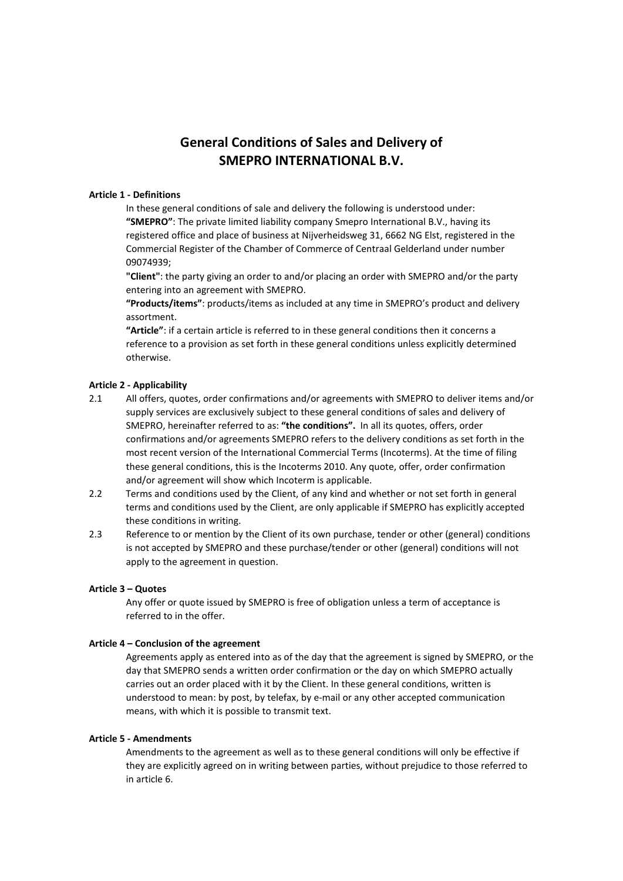# **General Conditions of Sales and Delivery of SMEPRO INTERNATIONAL B.V.**

## **Article 1 - Definitions**

In these general conditions of sale and delivery the following is understood under: **"SMEPRO"**: The private limited liability company Smepro International B.V., having its registered office and place of business at Nijverheidsweg 31, 6662 NG Elst, registered in the Commercial Register of the Chamber of Commerce of Centraal Gelderland under number 09074939;

**"Client"**: the party giving an order to and/or placing an order with SMEPRO and/or the party entering into an agreement with SMEPRO.

**"Products/items"**: products/items as included at any time in SMEPRO's product and delivery assortment.

**"Article"**: if a certain article is referred to in these general conditions then it concerns a reference to a provision as set forth in these general conditions unless explicitly determined otherwise.

## **Article 2 - Applicability**

- 2.1 All offers, quotes, order confirmations and/or agreements with SMEPRO to deliver items and/or supply services are exclusively subject to these general conditions of sales and delivery of SMEPRO, hereinafter referred to as: **"the conditions".** In all its quotes, offers, order confirmations and/or agreements SMEPRO refers to the delivery conditions as set forth in the most recent version of the International Commercial Terms (Incoterms). At the time of filing these general conditions, this is the Incoterms 2010. Any quote, offer, order confirmation and/or agreement will show which Incoterm is applicable.
- 2.2 Terms and conditions used by the Client, of any kind and whether or not set forth in general terms and conditions used by the Client, are only applicable if SMEPRO has explicitly accepted these conditions in writing.
- 2.3 Reference to or mention by the Client of its own purchase, tender or other (general) conditions is not accepted by SMEPRO and these purchase/tender or other (general) conditions will not apply to the agreement in question.

## **Article 3 – Quotes**

Any offer or quote issued by SMEPRO is free of obligation unless a term of acceptance is referred to in the offer.

## **Article 4 – Conclusion of the agreement**

Agreements apply as entered into as of the day that the agreement is signed by SMEPRO, or the day that SMEPRO sends a written order confirmation or the day on which SMEPRO actually carries out an order placed with it by the Client. In these general conditions, written is understood to mean: by post, by telefax, by e-mail or any other accepted communication means, with which it is possible to transmit text.

## **Article 5 - Amendments**

Amendments to the agreement as well as to these general conditions will only be effective if they are explicitly agreed on in writing between parties, without prejudice to those referred to in article 6.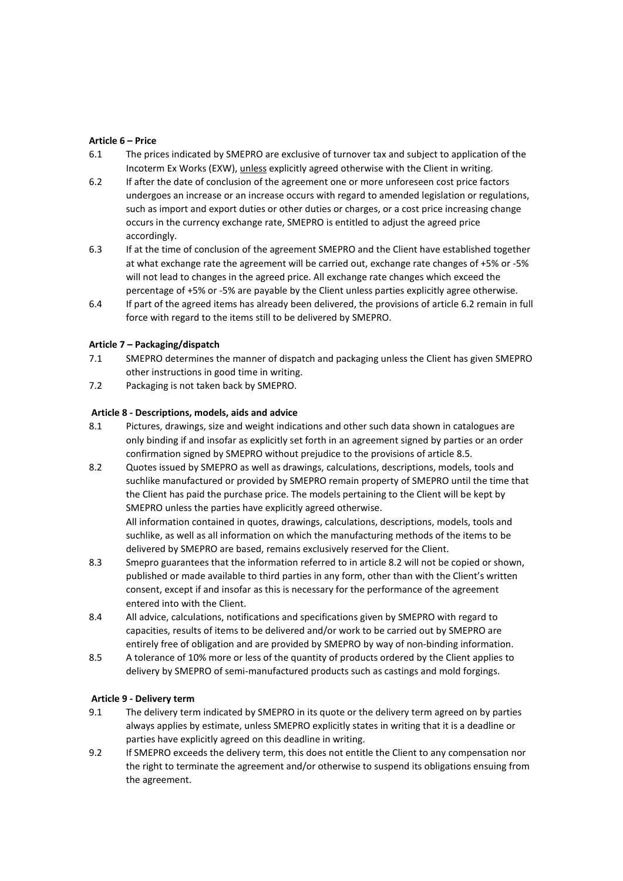## **Article 6 – Price**

- 6.1 The prices indicated by SMEPRO are exclusive of turnover tax and subject to application of the Incoterm Ex Works (EXW), unless explicitly agreed otherwise with the Client in writing.
- 6.2 If after the date of conclusion of the agreement one or more unforeseen cost price factors undergoes an increase or an increase occurs with regard to amended legislation or regulations, such as import and export duties or other duties or charges, or a cost price increasing change occurs in the currency exchange rate, SMEPRO is entitled to adjust the agreed price accordingly.
- 6.3 If at the time of conclusion of the agreement SMEPRO and the Client have established together at what exchange rate the agreement will be carried out, exchange rate changes of +5% or -5% will not lead to changes in the agreed price. All exchange rate changes which exceed the percentage of +5% or -5% are payable by the Client unless parties explicitly agree otherwise.
- 6.4 If part of the agreed items has already been delivered, the provisions of article 6.2 remain in full force with regard to the items still to be delivered by SMEPRO.

## **Article 7 – Packaging/dispatch**

- 7.1 SMEPRO determines the manner of dispatch and packaging unless the Client has given SMEPRO other instructions in good time in writing.
- 7.2 Packaging is not taken back by SMEPRO.

## **Article 8 - Descriptions, models, aids and advice**

- 8.1 Pictures, drawings, size and weight indications and other such data shown in catalogues are only binding if and insofar as explicitly set forth in an agreement signed by parties or an order confirmation signed by SMEPRO without prejudice to the provisions of article 8.5.
- 8.2 Quotes issued by SMEPRO as well as drawings, calculations, descriptions, models, tools and suchlike manufactured or provided by SMEPRO remain property of SMEPRO until the time that the Client has paid the purchase price. The models pertaining to the Client will be kept by SMEPRO unless the parties have explicitly agreed otherwise.

All information contained in quotes, drawings, calculations, descriptions, models, tools and suchlike, as well as all information on which the manufacturing methods of the items to be delivered by SMEPRO are based, remains exclusively reserved for the Client.

- 8.3 Smepro guarantees that the information referred to in article 8.2 will not be copied or shown, published or made available to third parties in any form, other than with the Client's written consent, except if and insofar as this is necessary for the performance of the agreement entered into with the Client.
- 8.4 All advice, calculations, notifications and specifications given by SMEPRO with regard to capacities, results of items to be delivered and/or work to be carried out by SMEPRO are entirely free of obligation and are provided by SMEPRO by way of non-binding information.
- 8.5 A tolerance of 10% more or less of the quantity of products ordered by the Client applies to delivery by SMEPRO of semi-manufactured products such as castings and mold forgings.

## **Article 9 - Delivery term**

- 9.1 The delivery term indicated by SMEPRO in its quote or the delivery term agreed on by parties always applies by estimate, unless SMEPRO explicitly states in writing that it is a deadline or parties have explicitly agreed on this deadline in writing.
- 9.2 If SMEPRO exceeds the delivery term, this does not entitle the Client to any compensation nor the right to terminate the agreement and/or otherwise to suspend its obligations ensuing from the agreement.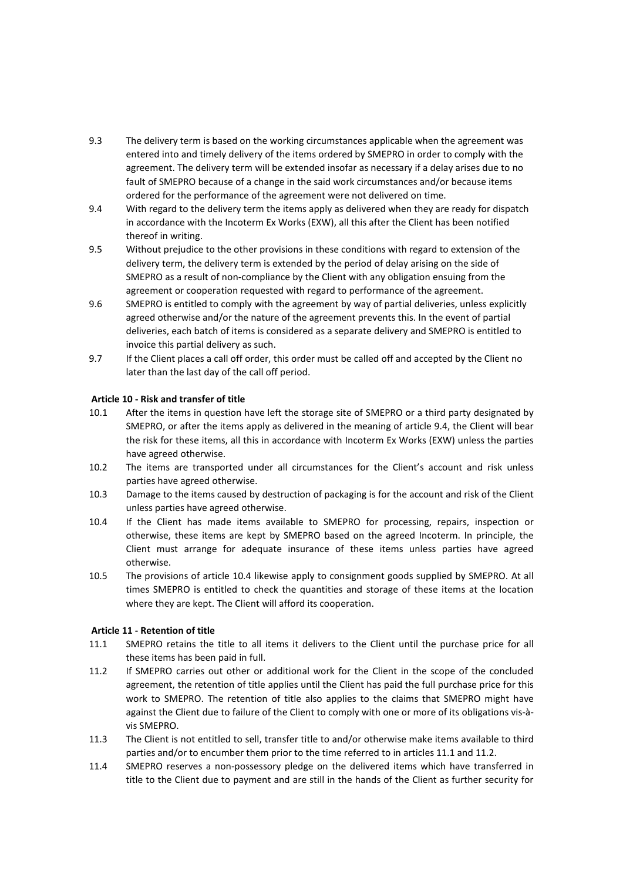- 9.3 The delivery term is based on the working circumstances applicable when the agreement was entered into and timely delivery of the items ordered by SMEPRO in order to comply with the agreement. The delivery term will be extended insofar as necessary if a delay arises due to no fault of SMEPRO because of a change in the said work circumstances and/or because items ordered for the performance of the agreement were not delivered on time.
- 9.4 With regard to the delivery term the items apply as delivered when they are ready for dispatch in accordance with the Incoterm Ex Works (EXW), all this after the Client has been notified thereof in writing.
- 9.5 Without prejudice to the other provisions in these conditions with regard to extension of the delivery term, the delivery term is extended by the period of delay arising on the side of SMEPRO as a result of non-compliance by the Client with any obligation ensuing from the agreement or cooperation requested with regard to performance of the agreement.
- 9.6 SMEPRO is entitled to comply with the agreement by way of partial deliveries, unless explicitly agreed otherwise and/or the nature of the agreement prevents this. In the event of partial deliveries, each batch of items is considered as a separate delivery and SMEPRO is entitled to invoice this partial delivery as such.
- 9.7 If the Client places a call off order, this order must be called off and accepted by the Client no later than the last day of the call off period.

## **Article 10 - Risk and transfer of title**

- 10.1 After the items in question have left the storage site of SMEPRO or a third party designated by SMEPRO, or after the items apply as delivered in the meaning of article 9.4, the Client will bear the risk for these items, all this in accordance with Incoterm Ex Works (EXW) unless the parties have agreed otherwise.
- 10.2 The items are transported under all circumstances for the Client's account and risk unless parties have agreed otherwise.
- 10.3 Damage to the items caused by destruction of packaging is for the account and risk of the Client unless parties have agreed otherwise.
- 10.4 If the Client has made items available to SMEPRO for processing, repairs, inspection or otherwise, these items are kept by SMEPRO based on the agreed Incoterm. In principle, the Client must arrange for adequate insurance of these items unless parties have agreed otherwise.
- 10.5 The provisions of article 10.4 likewise apply to consignment goods supplied by SMEPRO. At all times SMEPRO is entitled to check the quantities and storage of these items at the location where they are kept. The Client will afford its cooperation.

# **Article 11 - Retention of title**

- 11.1 SMEPRO retains the title to all items it delivers to the Client until the purchase price for all these items has been paid in full.
- 11.2 If SMEPRO carries out other or additional work for the Client in the scope of the concluded agreement, the retention of title applies until the Client has paid the full purchase price for this work to SMEPRO. The retention of title also applies to the claims that SMEPRO might have against the Client due to failure of the Client to comply with one or more of its obligations vis-àvis SMEPRO.
- 11.3 The Client is not entitled to sell, transfer title to and/or otherwise make items available to third parties and/or to encumber them prior to the time referred to in articles 11.1 and 11.2.
- 11.4 SMEPRO reserves a non-possessory pledge on the delivered items which have transferred in title to the Client due to payment and are still in the hands of the Client as further security for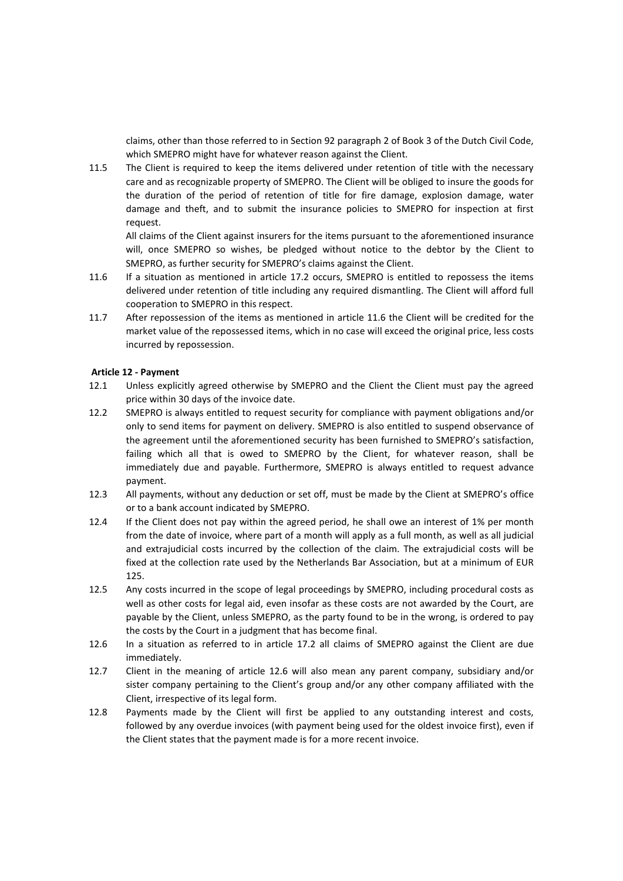claims, other than those referred to in Section 92 paragraph 2 of Book 3 of the Dutch Civil Code, which SMEPRO might have for whatever reason against the Client.

11.5 The Client is required to keep the items delivered under retention of title with the necessary care and as recognizable property of SMEPRO. The Client will be obliged to insure the goods for the duration of the period of retention of title for fire damage, explosion damage, water damage and theft, and to submit the insurance policies to SMEPRO for inspection at first request.

All claims of the Client against insurers for the items pursuant to the aforementioned insurance will, once SMEPRO so wishes, be pledged without notice to the debtor by the Client to SMEPRO, as further security for SMEPRO's claims against the Client.

- 11.6 If a situation as mentioned in article 17.2 occurs, SMEPRO is entitled to repossess the items delivered under retention of title including any required dismantling. The Client will afford full cooperation to SMEPRO in this respect.
- 11.7 After repossession of the items as mentioned in article 11.6 the Client will be credited for the market value of the repossessed items, which in no case will exceed the original price, less costs incurred by repossession.

## **Article 12 - Payment**

- 12.1 Unless explicitly agreed otherwise by SMEPRO and the Client the Client must pay the agreed price within 30 days of the invoice date.
- 12.2 SMEPRO is always entitled to request security for compliance with payment obligations and/or only to send items for payment on delivery. SMEPRO is also entitled to suspend observance of the agreement until the aforementioned security has been furnished to SMEPRO's satisfaction, failing which all that is owed to SMEPRO by the Client, for whatever reason, shall be immediately due and payable. Furthermore, SMEPRO is always entitled to request advance payment.
- 12.3 All payments, without any deduction or set off, must be made by the Client at SMEPRO's office or to a bank account indicated by SMEPRO.
- 12.4 If the Client does not pay within the agreed period, he shall owe an interest of 1% per month from the date of invoice, where part of a month will apply as a full month, as well as all judicial and extrajudicial costs incurred by the collection of the claim. The extrajudicial costs will be fixed at the collection rate used by the Netherlands Bar Association, but at a minimum of EUR 125.
- 12.5 Any costs incurred in the scope of legal proceedings by SMEPRO, including procedural costs as well as other costs for legal aid, even insofar as these costs are not awarded by the Court, are payable by the Client, unless SMEPRO, as the party found to be in the wrong, is ordered to pay the costs by the Court in a judgment that has become final.
- 12.6 In a situation as referred to in article 17.2 all claims of SMEPRO against the Client are due immediately.
- 12.7 Client in the meaning of article 12.6 will also mean any parent company, subsidiary and/or sister company pertaining to the Client's group and/or any other company affiliated with the Client, irrespective of its legal form.
- 12.8 Payments made by the Client will first be applied to any outstanding interest and costs, followed by any overdue invoices (with payment being used for the oldest invoice first), even if the Client states that the payment made is for a more recent invoice.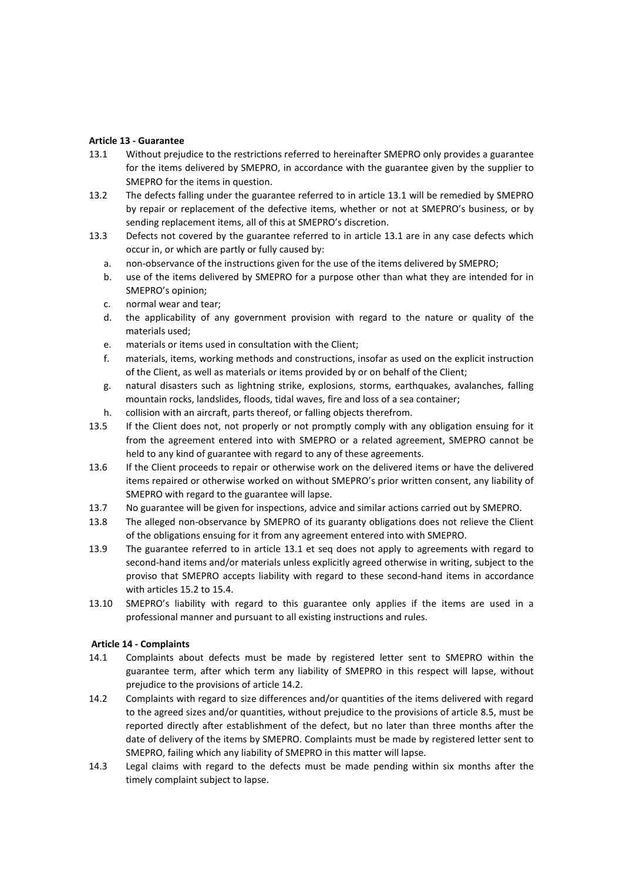## **Article 13 - Guarantee**

- 13.1 Without prejudice to the restrictions referred to hereinafter SMEPRO only provides a guarantee for the items delivered by SMEPRO, in accordance with the guarantee given by the supplier to SMEPRO for the items in question.
- 13.2 The defects falling under the guarantee referred to in article 13.1 will be remedied by SMEPRO by repair or replacement of the defective items, whether or not at SMEPRO's business, or by sending replacement items, all of this at SMEPRO's discretion.
- 13.3 Defects not covered by the guarantee referred to in article 13.1 are in any case defects which occur in, or which are partly or fully caused by:
	- a. non-observance of the instructions given for the use of the items delivered by SMEPRO;
	- b. use of the items delivered by SMEPRO for a purpose other than what they are intended for in SMEPRO's opinion;
	- c. normal wear and tear;
	- d. the applicability of any government provision with regard to the nature or quality of the materials used;
	- e. materials or items used in consultation with the Client;
	- f. materials, items, working methods and constructions, insofar as used on the explicit instruction of the Client, as well as materials or items provided by or on behalf of the Client;
	- g. natural disasters such as lightning strike, explosions, storms, earthquakes, avalanches, falling mountain rocks, landslides, floods, tidal waves, fire and loss of a sea container;
	- h. collision with an aircraft, parts thereof, or falling objects therefrom.
- 13.5 If the Client does not, not properly or not promptly comply with any obligation ensuing for it from the agreement entered into with SMEPRO or a related agreement, SMEPRO cannot be held to any kind of guarantee with regard to any of these agreements.
- 13.6 If the Client proceeds to repair or otherwise work on the delivered items or have the delivered items repaired or otherwise worked on without SMEPRO's prior written consent, any liability of SMEPRO with regard to the guarantee will lapse.
- 13.7 No guarantee will be given for inspections, advice and similar actions carried out by SMEPRO.
- 13.8 The alleged non-observance by SMEPRO of its guaranty obligations does not relieve the Client of the obligations ensuing for it from any agreement entered into with SMEPRO.
- 13.9 The guarantee referred to in article 13.1 et seq does not apply to agreements with regard to second-hand items and/or materials unless explicitly agreed otherwise in writing, subject to the proviso that SMEPRO accepts liability with regard to these second-hand items in accordance with articles 15.2 to 15.4.
- 13.10 SMEPRO's liability with regard to this guarantee only applies if the items are used in a professional manner and pursuant to all existing instructions and rules.

## **Article 14 - Complaints**

- 14.1 Complaints about defects must be made by registered letter sent to SMEPRO within the guarantee term, after which term any liability of SMEPRO in this respect will lapse, without prejudice to the provisions of article 14.2.
- 14.2 Complaints with regard to size differences and/or quantities of the items delivered with regard to the agreed sizes and/or quantities, without prejudice to the provisions of article 8.5, must be reported directly after establishment of the defect, but no later than three months after the date of delivery of the items by SMEPRO. Complaints must be made by registered letter sent to SMEPRO, failing which any liability of SMEPRO in this matter will lapse.
- 14.3 Legal claims with regard to the defects must be made pending within six months after the timely complaint subject to lapse.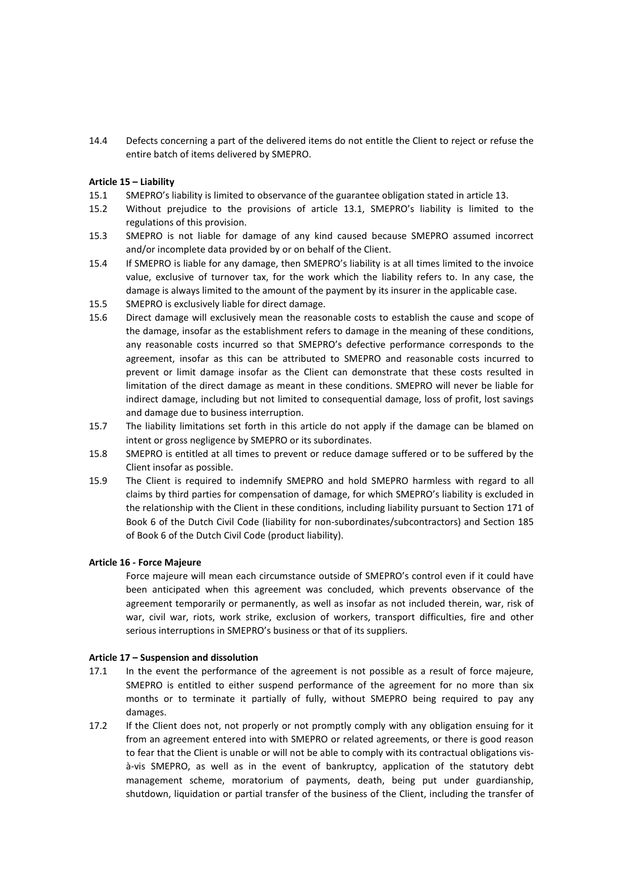14.4 Defects concerning a part of the delivered items do not entitle the Client to reject or refuse the entire batch of items delivered by SMEPRO.

## **Article 15 – Liability**

- 15.1 SMEPRO's liability is limited to observance of the guarantee obligation stated in article 13.
- 15.2 Without prejudice to the provisions of article 13.1, SMEPRO's liability is limited to the regulations of this provision.
- 15.3 SMEPRO is not liable for damage of any kind caused because SMEPRO assumed incorrect and/or incomplete data provided by or on behalf of the Client.
- 15.4 If SMEPRO is liable for any damage, then SMEPRO's liability is at all times limited to the invoice value, exclusive of turnover tax, for the work which the liability refers to. In any case, the damage is always limited to the amount of the payment by its insurer in the applicable case.
- 15.5 SMEPRO is exclusively liable for direct damage.
- 15.6 Direct damage will exclusively mean the reasonable costs to establish the cause and scope of the damage, insofar as the establishment refers to damage in the meaning of these conditions, any reasonable costs incurred so that SMEPRO's defective performance corresponds to the agreement, insofar as this can be attributed to SMEPRO and reasonable costs incurred to prevent or limit damage insofar as the Client can demonstrate that these costs resulted in limitation of the direct damage as meant in these conditions. SMEPRO will never be liable for indirect damage, including but not limited to consequential damage, loss of profit, lost savings and damage due to business interruption.
- 15.7 The liability limitations set forth in this article do not apply if the damage can be blamed on intent or gross negligence by SMEPRO or its subordinates.
- 15.8 SMEPRO is entitled at all times to prevent or reduce damage suffered or to be suffered by the Client insofar as possible.
- 15.9 The Client is required to indemnify SMEPRO and hold SMEPRO harmless with regard to all claims by third parties for compensation of damage, for which SMEPRO's liability is excluded in the relationship with the Client in these conditions, including liability pursuant to Section 171 of Book 6 of the Dutch Civil Code (liability for non-subordinates/subcontractors) and Section 185 of Book 6 of the Dutch Civil Code (product liability).

## **Article 16 - Force Majeure**

Force majeure will mean each circumstance outside of SMEPRO's control even if it could have been anticipated when this agreement was concluded, which prevents observance of the agreement temporarily or permanently, as well as insofar as not included therein, war, risk of war, civil war, riots, work strike, exclusion of workers, transport difficulties, fire and other serious interruptions in SMEPRO's business or that of its suppliers.

## **Article 17 – Suspension and dissolution**

- 17.1 In the event the performance of the agreement is not possible as a result of force majeure, SMEPRO is entitled to either suspend performance of the agreement for no more than six months or to terminate it partially of fully, without SMEPRO being required to pay any damages.
- 17.2 If the Client does not, not properly or not promptly comply with any obligation ensuing for it from an agreement entered into with SMEPRO or related agreements, or there is good reason to fear that the Client is unable or will not be able to comply with its contractual obligations visà-vis SMEPRO, as well as in the event of bankruptcy, application of the statutory debt management scheme, moratorium of payments, death, being put under guardianship, shutdown, liquidation or partial transfer of the business of the Client, including the transfer of